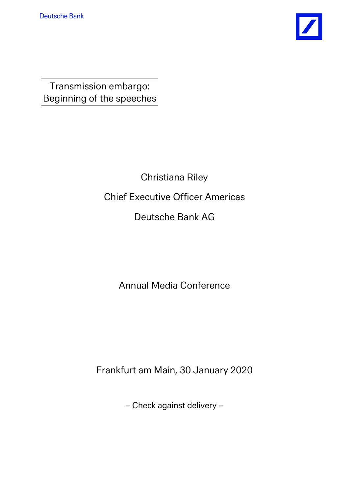

Transmission embargo: Beginning of the speeches

> Christiana Riley Chief Executive Officer Americas Deutsche Bank AG

> > Annual Media Conference

Frankfurt am Main, 30 January 2020

– Check against delivery –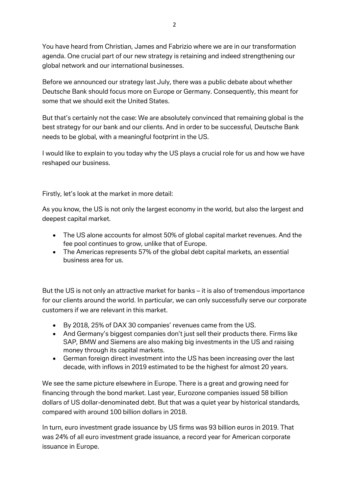You have heard from Christian, James and Fabrizio where we are in our transformation agenda. One crucial part of our new strategy is retaining and indeed strengthening our global network and our international businesses.

Before we announced our strategy last July, there was a public debate about whether Deutsche Bank should focus more on Europe or Germany. Consequently, this meant for some that we should exit the United States.

But that's certainly not the case: We are absolutely convinced that remaining global is the best strategy for our bank and our clients. And in order to be successful, Deutsche Bank needs to be global, with a meaningful footprint in the US.

I would like to explain to you today why the US plays a crucial role for us and how we have reshaped our business.

Firstly, let's look at the market in more detail:

As you know, the US is not only the largest economy in the world, but also the largest and deepest capital market.

- The US alone accounts for almost 50% of global capital market revenues. And the fee pool continues to grow, unlike that of Europe.
- The Americas represents 57% of the global debt capital markets, an essential business area for us.

But the US is not only an attractive market for banks – it is also of tremendous importance for our clients around the world. In particular, we can only successfully serve our corporate customers if we are relevant in this market.

- By 2018, 25% of DAX 30 companies' revenues came from the US.
- And Germany's biggest companies don't just sell their products there. Firms like SAP, BMW and Siemens are also making big investments in the US and raising money through its capital markets.
- German foreign direct investment into the US has been increasing over the last decade, with inflows in 2019 estimated to be the highest for almost 20 years.

We see the same picture elsewhere in Europe. There is a great and growing need for financing through the bond market. Last year, Eurozone companies issued 58 billion dollars of US dollar-denominated debt. But that was a quiet year by historical standards, compared with around 100 billion dollars in 2018.

In turn, euro investment grade issuance by US firms was 93 billion euros in 2019. That was 24% of all euro investment grade issuance, a record year for American corporate issuance in Europe.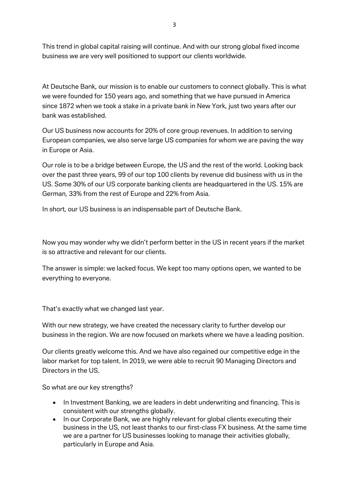This trend in global capital raising will continue. And with our strong global fixed income business we are very well positioned to support our clients worldwide.

At Deutsche Bank, our mission is to enable our customers to connect globally. This is what we were founded for 150 years ago, and something that we have pursued in America since 1872 when we took a stake in a private bank in New York, just two years after our bank was established.

Our US business now accounts for 20% of core group revenues. In addition to serving European companies, we also serve large US companies for whom we are paving the way in Europe or Asia.

Our role is to be a bridge between Europe, the US and the rest of the world. Looking back over the past three years, 99 of our top 100 clients by revenue did business with us in the US. Some 30% of our US corporate banking clients are headquartered in the US. 15% are German, 33% from the rest of Europe and 22% from Asia.

In short, our US business is an indispensable part of Deutsche Bank.

Now you may wonder why we didn't perform better in the US in recent years if the market is so attractive and relevant for our clients.

The answer is simple: we lacked focus. We kept too many options open, we wanted to be everything to everyone.

That's exactly what we changed last year.

With our new strategy, we have created the necessary clarity to further develop our business in the region. We are now focused on markets where we have a leading position.

Our clients greatly welcome this. And we have also regained our competitive edge in the labor market for top talent. In 2019, we were able to recruit 90 Managing Directors and Directors in the US.

So what are our key strengths?

- In Investment Banking, we are leaders in debt underwriting and financing. This is consistent with our strengths globally.
- In our Corporate Bank, we are highly relevant for global clients executing their business in the US, not least thanks to our first-class FX business. At the same time we are a partner for US businesses looking to manage their activities globally, particularly in Europe and Asia.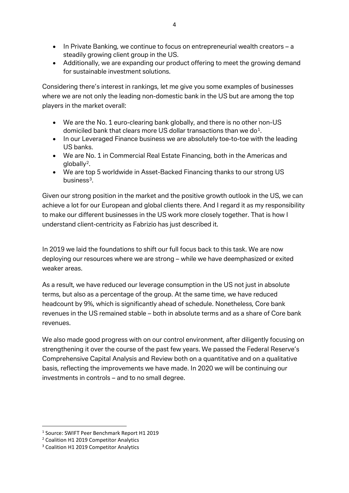- In Private Banking, we continue to focus on entrepreneurial wealth creators a steadily growing client group in the US.
- Additionally, we are expanding our product offering to meet the growing demand for sustainable investment solutions.

Considering there's interest in rankings, let me give you some examples of businesses where we are not only the leading non-domestic bank in the US but are among the top players in the market overall:

- We are the No. 1 euro-clearing bank globally, and there is no other non-US domiciled bank that clears more US dollar transactions than we do<sup>1</sup>.
- In our Leveraged Finance business we are absolutely toe-to-toe with the leading US banks.
- We are No. 1 in Commercial Real Estate Financing, both in the Americas and  $a$ loball $v^2$ .
- We are top 5 worldwide in Asset-Backed Financing thanks to our strong US business $3$ .

Given our strong position in the market and the positive growth outlook in the US, we can achieve a lot for our European and global clients there. And I regard it as my responsibility to make our different businesses in the US work more closely together. That is how I understand client-centricity as Fabrizio has just described it.

In 2019 we laid the foundations to shift our full focus back to this task. We are now deploying our resources where we are strong – while we have deemphasized or exited weaker areas.

As a result, we have reduced our leverage consumption in the US not just in absolute terms, but also as a percentage of the group. At the same time, we have reduced headcount by 9%, which is significantly ahead of schedule. Nonetheless, Core bank revenues in the US remained stable – both in absolute terms and as a share of Core bank revenues.

We also made good progress with on our control environment, after diligently focusing on strengthening it over the course of the past few years. We passed the Federal Reserve's Comprehensive Capital Analysis and Review both on a quantitative and on a qualitative basis, reflecting the improvements we have made. In 2020 we will be continuing our investments in controls – and to no small degree.

<span id="page-3-0"></span> <sup>1</sup> Source: SWIFT Peer Benchmark Report H1 2019

<span id="page-3-1"></span><sup>2</sup> Coalition H1 2019 Competitor Analytics

<span id="page-3-2"></span><sup>&</sup>lt;sup>3</sup> Coalition H1 2019 Competitor Analytics